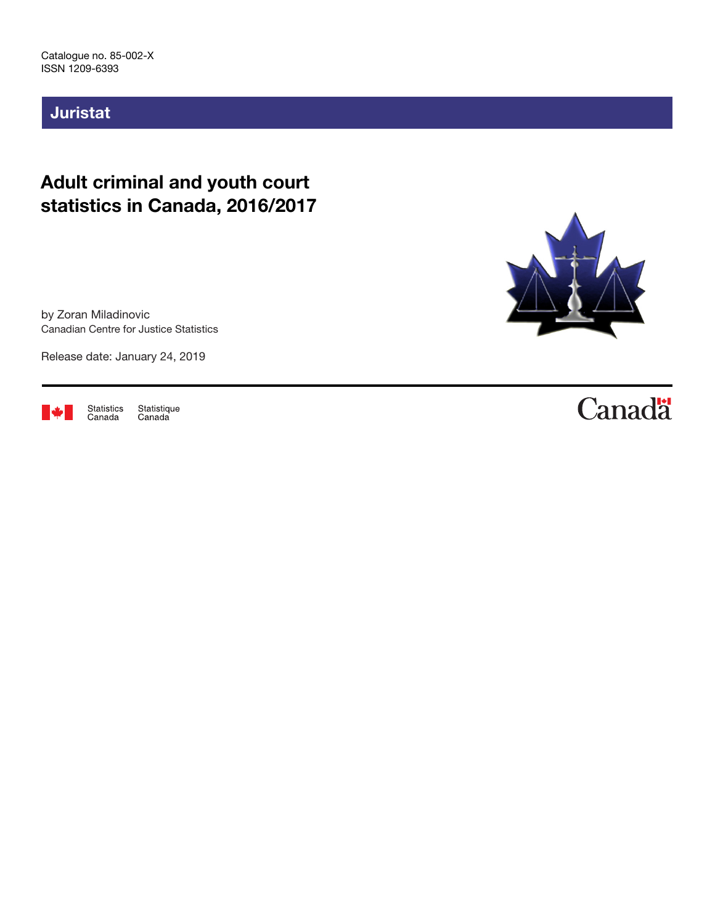# Juristat

# Adult criminal and youth court statistics in Canada, 2016/2017

by Zoran Miladinovic Canadian Centre for Justice Statistics

Release date: January 24, 2019



Statistics<br>Canada Statistique<br>Canada



# **Canadä**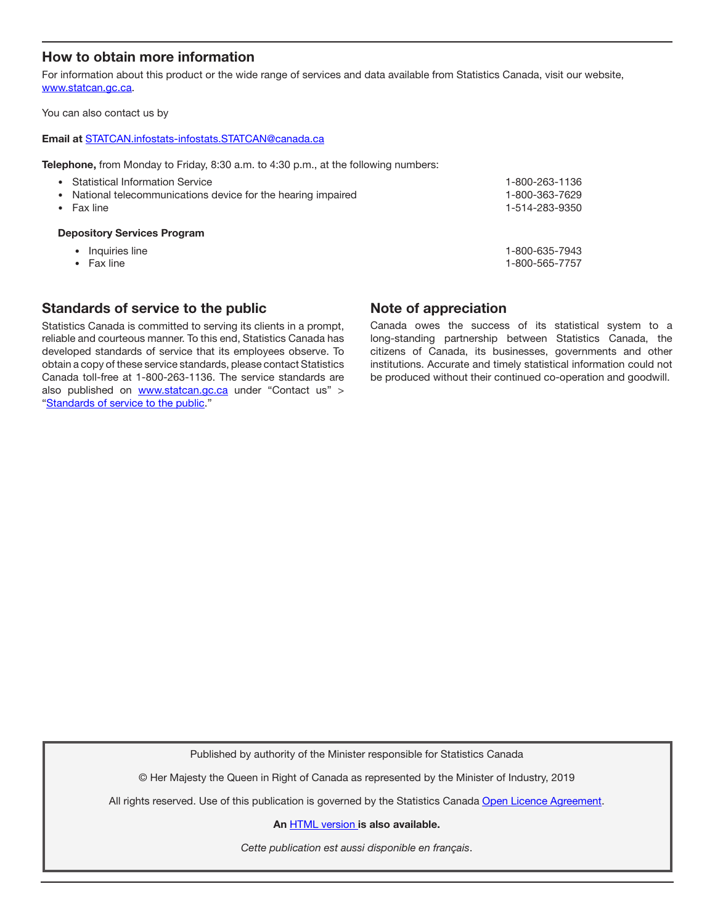# How to obtain more information

For information about this product or the wide range of services and data available from Statistics Canada, visit our website, [www.statcan.gc.ca.](https://www.statcan.gc.ca)

You can also contact us by

#### Email at [STATCAN.infostats-infostats.STATCAN@canada.ca](mailto:STATCAN.infostats-infostats.STATCAN%40canada.ca?subject=)

Telephone, from Monday to Friday, 8:30 a.m. to 4:30 p.m., at the following numbers:

| • Statistical Information Service                             | 1-800-263-1136 |  |  |  |  |  |  |
|---------------------------------------------------------------|----------------|--|--|--|--|--|--|
| • National telecommunications device for the hearing impaired | 1-800-363-7629 |  |  |  |  |  |  |
| $\bullet$ Fax line                                            | 1-514-283-9350 |  |  |  |  |  |  |
| <b>Depository Services Program</b>                            |                |  |  |  |  |  |  |

- Inquiries line 1-800-635-7943
- 

• Fax line 1-800-565-7757

## Standards of service to the public

Statistics Canada is committed to serving its clients in a prompt, reliable and courteous manner. To this end, Statistics Canada has developed standards of service that its employees observe. To obtain a copy of these service standards, please contact Statistics Canada toll-free at 1-800-263-1136. The service standards are also published on [www.statcan.gc.ca](https://www.statcan.gc.ca) under "Contact us" > "[Standards of service to the public](https://www.statcan.gc.ca/eng/about/service/standards)."

## Note of appreciation

Canada owes the success of its statistical system to a long-standing partnership between Statistics Canada, the citizens of Canada, its businesses, governments and other institutions. Accurate and timely statistical information could not be produced without their continued co-operation and goodwill.

Published by authority of the Minister responsible for Statistics Canada

© Her Majesty the Queen in Right of Canada as represented by the Minister of Industry, 2019

All rights reserved. Use of this publication is governed by the Statistics Canada [Open Licence Agreement](https://www.statcan.gc.ca/eng/reference/licence).

An [HTML version](https://www150.statcan.gc.ca/n1/pub/85-002-x/2019001/article/00002-eng.htm) is also available.

*Cette publication est aussi disponible en français*.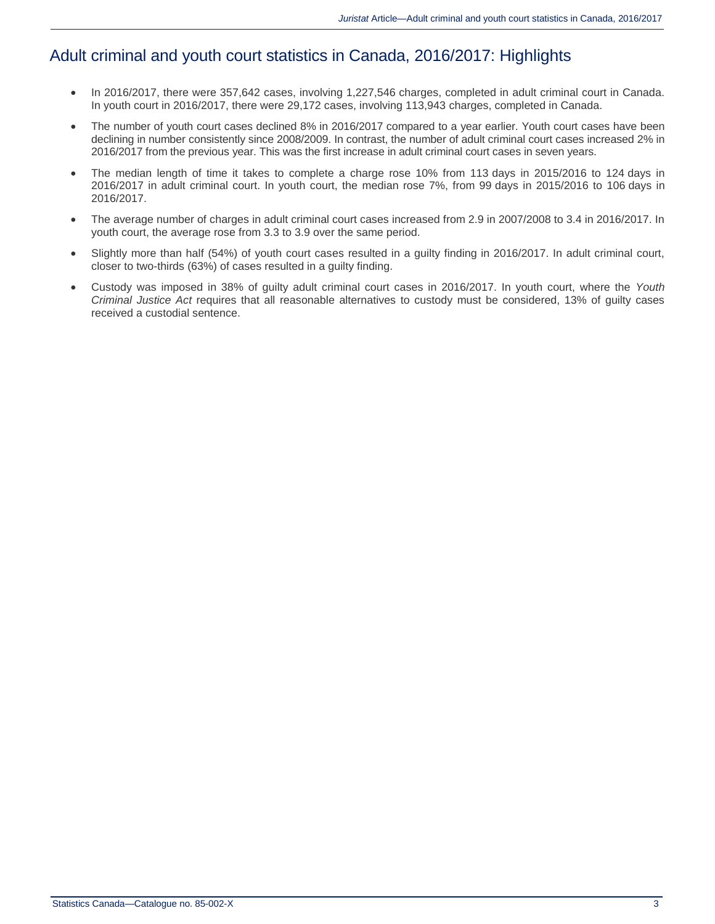# Adult criminal and youth court statistics in Canada, 2016/2017: Highlights

- In 2016/2017, there were 357,642 cases, involving 1,227,546 charges, completed in adult criminal court in Canada. In youth court in 2016/2017, there were 29,172 cases, involving 113,943 charges, completed in Canada.
- The number of youth court cases declined 8% in 2016/2017 compared to a year earlier. Youth court cases have been declining in number consistently since 2008/2009. In contrast, the number of adult criminal court cases increased 2% in 2016/2017 from the previous year. This was the first increase in adult criminal court cases in seven years.
- The median length of time it takes to complete a charge rose 10% from 113 days in 2015/2016 to 124 days in 2016/2017 in adult criminal court. In youth court, the median rose 7%, from 99 days in 2015/2016 to 106 days in 2016/2017.
- The average number of charges in adult criminal court cases increased from 2.9 in 2007/2008 to 3.4 in 2016/2017. In youth court, the average rose from 3.3 to 3.9 over the same period.
- Slightly more than half (54%) of youth court cases resulted in a guilty finding in 2016/2017. In adult criminal court, closer to two-thirds (63%) of cases resulted in a guilty finding.
- Custody was imposed in 38% of guilty adult criminal court cases in 2016/2017. In youth court, where the *Youth Criminal Justice Act* requires that all reasonable alternatives to custody must be considered, 13% of guilty cases received a custodial sentence.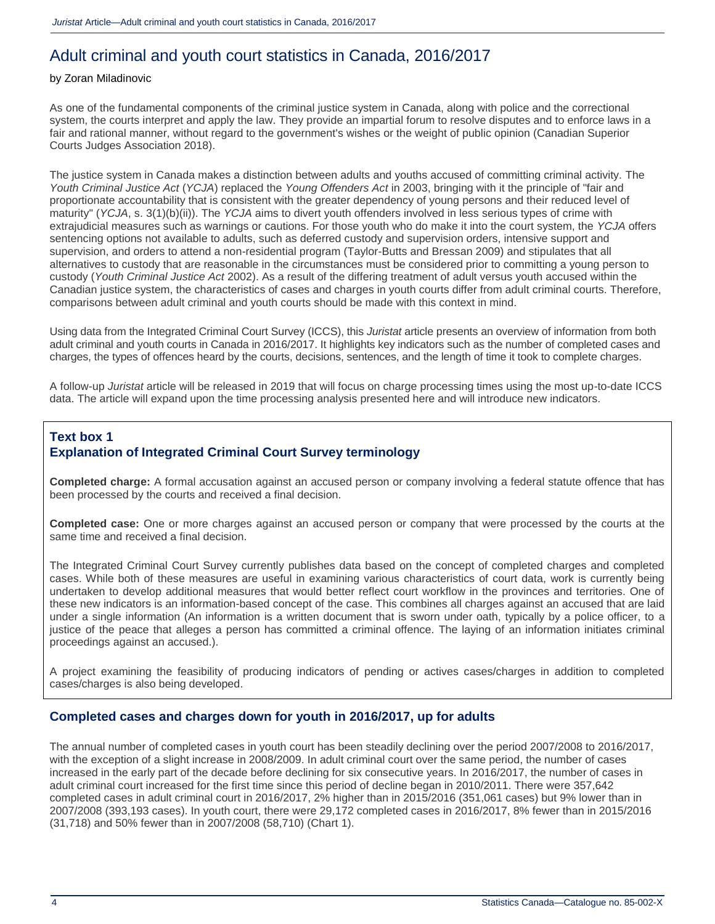# Adult criminal and youth court statistics in Canada, 2016/2017

#### by Zoran Miladinovic

As one of the fundamental components of the criminal justice system in Canada, along with police and the correctional system, the courts interpret and apply the law. They provide an impartial forum to resolve disputes and to enforce laws in a fair and rational manner, without regard to the government's wishes or the weight of public opinion (Canadian Superior Courts Judges Association 2018).

The justice system in Canada makes a distinction between adults and youths accused of committing criminal activity. The *Youth Criminal Justice Act* (*YCJA*) replaced the *Young Offenders Act* in 2003, bringing with it the principle of "fair and proportionate accountability that is consistent with the greater dependency of young persons and their reduced level of maturity" (*YCJA*, s. 3(1)(b)(ii)). The *YCJA* aims to divert youth offenders involved in less serious types of crime with extrajudicial measures such as warnings or cautions. For those youth who do make it into the court system, the *YCJA* offers sentencing options not available to adults, such as deferred custody and supervision orders, intensive support and supervision, and orders to attend a non-residential program (Taylor-Butts and Bressan 2009) and stipulates that all alternatives to custody that are reasonable in the circumstances must be considered prior to committing a young person to custody (*Youth Criminal Justice Act* 2002). As a result of the differing treatment of adult versus youth accused within the Canadian justice system, the characteristics of cases and charges in youth courts differ from adult criminal courts. Therefore, comparisons between adult criminal and youth courts should be made with this context in mind.

Using data from the Integrated Criminal Court Survey (ICCS), this *Juristat* article presents an overview of information from both adult criminal and youth courts in Canada in 2016/2017. It highlights key indicators such as the number of completed cases and charges, the types of offences heard by the courts, decisions, sentences, and the length of time it took to complete charges.

A follow-up *Juristat* article will be released in 2019 that will focus on charge processing times using the most up-to-date ICCS data. The article will expand upon the time processing analysis presented here and will introduce new indicators.

# **Text box 1 Explanation of Integrated Criminal Court Survey terminology**

**Completed charge:** A formal accusation against an accused person or company involving a federal statute offence that has been processed by the courts and received a final decision.

**Completed case:** One or more charges against an accused person or company that were processed by the courts at the same time and received a final decision.

The Integrated Criminal Court Survey currently publishes data based on the concept of completed charges and completed cases. While both of these measures are useful in examining various characteristics of court data, work is currently being undertaken to develop additional measures that would better reflect court workflow in the provinces and territories. One of these new indicators is an information-based concept of the case. This combines all charges against an accused that are laid under a single information (An information is a written document that is sworn under oath, typically by a police officer, to a justice of the peace that alleges a person has committed a criminal offence. The laying of an information initiates criminal proceedings against an accused.).

A project examining the feasibility of producing indicators of pending or actives cases/charges in addition to completed cases/charges is also being developed.

### **Completed cases and charges down for youth in 2016/2017, up for adults**

The annual number of completed cases in youth court has been steadily declining over the period 2007/2008 to 2016/2017, with the exception of a slight increase in 2008/2009. In adult criminal court over the same period, the number of cases increased in the early part of the decade before declining for six consecutive years. In 2016/2017, the number of cases in adult criminal court increased for the first time since this period of decline began in 2010/2011. There were 357,642 completed cases in adult criminal court in 2016/2017, 2% higher than in 2015/2016 (351,061 cases) but 9% lower than in 2007/2008 (393,193 cases). In youth court, there were 29,172 completed cases in 2016/2017, 8% fewer than in 2015/2016 (31,718) and 50% fewer than in 2007/2008 (58,710) (Chart 1).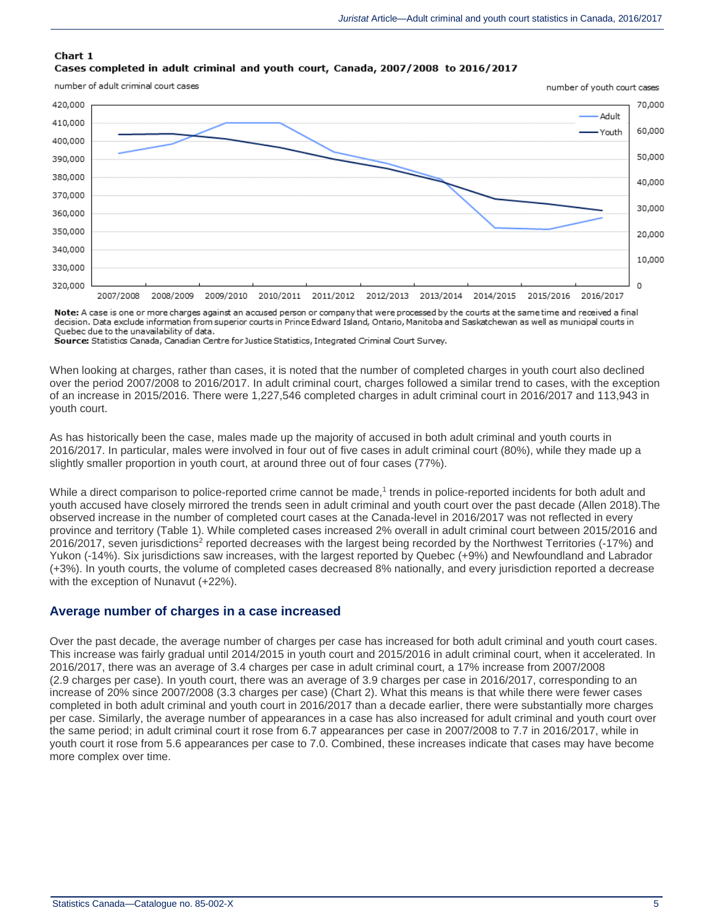#### Chart 1 Cases completed in adult criminal and youth court, Canada, 2007/2008 to 2016/2017

number of adult criminal court cases



Note: A case is one or more charges against an accused person or company that were processed by the courts at the same time and received a final decision. Data exclude information from superior courts in Prince Edward Island, Ontario, Manitoba and Saskatchewan as well as municipal courts in Quebec due to the unavailability of data.

Source: Statistics Canada, Canadian Centre for Justice Statistics, Integrated Criminal Court Survey.

When looking at charges, rather than cases, it is noted that the number of completed charges in youth court also declined over the period 2007/2008 to 2016/2017. In adult criminal court, charges followed a similar trend to cases, with the exception of an increase in 2015/2016. There were 1,227,546 completed charges in adult criminal court in 2016/2017 and 113,943 in youth court.

As has historically been the case, males made up the majority of accused in both adult criminal and youth courts in 2016/2017. In particular, males were involved in four out of five cases in adult criminal court (80%), while they made up a slightly smaller proportion in youth court, at around three out of four cases (77%).

While a direct comparison to police-reported crime cannot be made,<sup>1</sup> trends in police-reported incidents for both adult and youth accused have closely mirrored the trends seen in adult criminal and youth court over the past decade (Allen 2018).The observed increase in the number of completed court cases at the Canada-level in 2016/2017 was not reflected in every province and territory (Table 1). While completed cases increased 2% overall in adult criminal court between 2015/2016 and 2016/2017, seven jurisdictions<sup>2</sup> reported decreases with the largest being recorded by the Northwest Territories (-17%) and Yukon (-14%). Six jurisdictions saw increases, with the largest reported by Quebec (+9%) and Newfoundland and Labrador (+3%). In youth courts, the volume of completed cases decreased 8% nationally, and every jurisdiction reported a decrease with the exception of Nunavut (+22%).

#### **Average number of charges in a case increased**

Over the past decade, the average number of charges per case has increased for both adult criminal and youth court cases. This increase was fairly gradual until 2014/2015 in youth court and 2015/2016 in adult criminal court, when it accelerated. In 2016/2017, there was an average of 3.4 charges per case in adult criminal court, a 17% increase from 2007/2008 (2.9 charges per case). In youth court, there was an average of 3.9 charges per case in 2016/2017, corresponding to an increase of 20% since 2007/2008 (3.3 charges per case) (Chart 2). What this means is that while there were fewer cases completed in both adult criminal and youth court in 2016/2017 than a decade earlier, there were substantially more charges per case. Similarly, the average number of appearances in a case has also increased for adult criminal and youth court over the same period; in adult criminal court it rose from 6.7 appearances per case in 2007/2008 to 7.7 in 2016/2017, while in youth court it rose from 5.6 appearances per case to 7.0. Combined, these increases indicate that cases may have become more complex over time.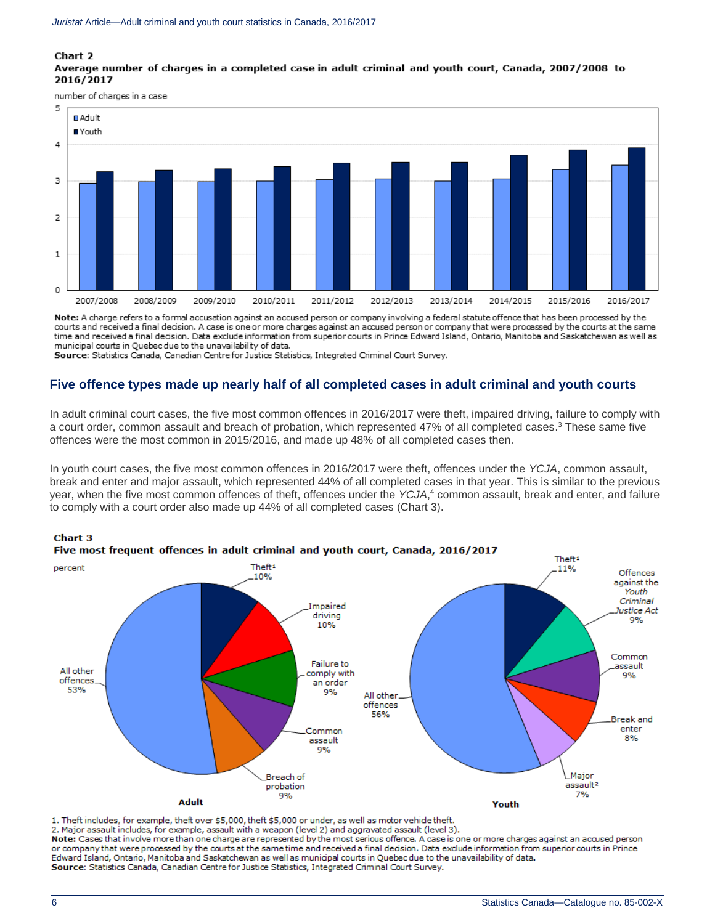#### Chart 2

#### Average number of charges in a completed case in adult criminal and youth court, Canada, 2007/2008 to 2016/2017

number of charges in a case



Note: A charge refers to a formal accusation against an accused person or company involving a federal statute offence that has been processed by the courts and received a final decision. A case is one or more charges against an accused person or company that were processed by the courts at the same time and received a final decision. Data exclude information from superior courts in Prince Edward Island, Ontario, Manitoba and Saskatchewan as well as municipal courts in Quebec due to the unavailability of data.

Source: Statistics Canada, Canadian Centre for Justice Statistics, Integrated Criminal Court Survey.

### **Five offence types made up nearly half of all completed cases in adult criminal and youth courts**

In adult criminal court cases, the five most common offences in 2016/2017 were theft, impaired driving, failure to comply with a court order, common assault and breach of probation, which represented 47% of all completed cases.<sup>3</sup> These same five offences were the most common in 2015/2016, and made up 48% of all completed cases then.

In youth court cases, the five most common offences in 2016/2017 were theft, offences under the *YCJA*, common assault, break and enter and major assault, which represented 44% of all completed cases in that year. This is similar to the previous year, when the five most common offences of theft, offences under the *YCJA*, <sup>4</sup> common assault, break and enter, and failure to comply with a court order also made up 44% of all completed cases (Chart 3).



1. Theft includes, for example, theft over \$5,000, theft \$5,000 or under, as well as motor vehide theft.

2. Major assault includes, for example, assault with a weapon (level 2) and aggravated assault (level 3).

Note: Cases that involve more than one charge are represented by the most serious offence. A case is one or more charges against an accused person or company that were processed by the courts at the same time and received a final decision. Data exclude information from superior courts in Prince Edward Island, Ontario, Manitoba and Saskatchewan as well as municipal courts in Quebec due to the unavailability of data. Source: Statistics Canada, Canadian Centre for Justice Statistics, Integrated Criminal Court Survey.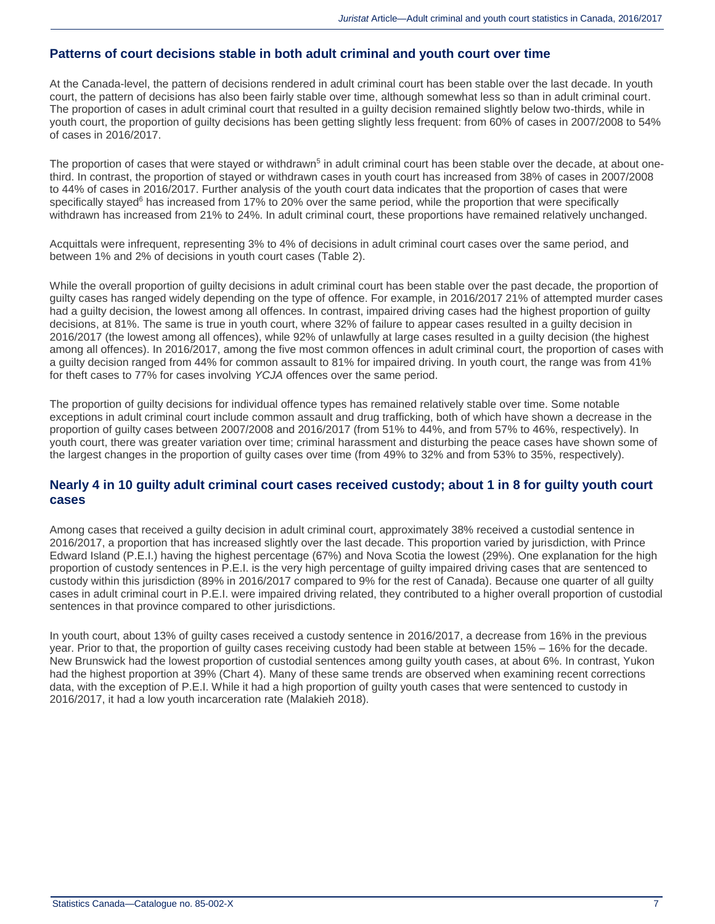#### **Patterns of court decisions stable in both adult criminal and youth court over time**

At the Canada-level, the pattern of decisions rendered in adult criminal court has been stable over the last decade. In youth court, the pattern of decisions has also been fairly stable over time, although somewhat less so than in adult criminal court. The proportion of cases in adult criminal court that resulted in a guilty decision remained slightly below two-thirds, while in youth court, the proportion of guilty decisions has been getting slightly less frequent: from 60% of cases in 2007/2008 to 54% of cases in 2016/2017.

The proportion of cases that were stayed or withdrawn<sup>5</sup> in adult criminal court has been stable over the decade, at about onethird. In contrast, the proportion of stayed or withdrawn cases in youth court has increased from 38% of cases in 2007/2008 to 44% of cases in 2016/2017. Further analysis of the youth court data indicates that the proportion of cases that were specifically stayed<sup>6</sup> has increased from 17% to 20% over the same period, while the proportion that were specifically withdrawn has increased from 21% to 24%. In adult criminal court, these proportions have remained relatively unchanged.

Acquittals were infrequent, representing 3% to 4% of decisions in adult criminal court cases over the same period, and between 1% and 2% of decisions in youth court cases (Table 2).

While the overall proportion of guilty decisions in adult criminal court has been stable over the past decade, the proportion of guilty cases has ranged widely depending on the type of offence. For example, in 2016/2017 21% of attempted murder cases had a guilty decision, the lowest among all offences. In contrast, impaired driving cases had the highest proportion of guilty decisions, at 81%. The same is true in youth court, where 32% of failure to appear cases resulted in a guilty decision in 2016/2017 (the lowest among all offences), while 92% of unlawfully at large cases resulted in a guilty decision (the highest among all offences). In 2016/2017, among the five most common offences in adult criminal court, the proportion of cases with a guilty decision ranged from 44% for common assault to 81% for impaired driving. In youth court, the range was from 41% for theft cases to 77% for cases involving *YCJA* offences over the same period.

The proportion of guilty decisions for individual offence types has remained relatively stable over time. Some notable exceptions in adult criminal court include common assault and drug trafficking, both of which have shown a decrease in the proportion of guilty cases between 2007/2008 and 2016/2017 (from 51% to 44%, and from 57% to 46%, respectively). In youth court, there was greater variation over time; criminal harassment and disturbing the peace cases have shown some of the largest changes in the proportion of guilty cases over time (from 49% to 32% and from 53% to 35%, respectively).

#### **Nearly 4 in 10 guilty adult criminal court cases received custody; about 1 in 8 for guilty youth court cases**

Among cases that received a guilty decision in adult criminal court, approximately 38% received a custodial sentence in 2016/2017, a proportion that has increased slightly over the last decade. This proportion varied by jurisdiction, with Prince Edward Island (P.E.I.) having the highest percentage (67%) and Nova Scotia the lowest (29%). One explanation for the high proportion of custody sentences in P.E.I. is the very high percentage of guilty impaired driving cases that are sentenced to custody within this jurisdiction (89% in 2016/2017 compared to 9% for the rest of Canada). Because one quarter of all guilty cases in adult criminal court in P.E.I. were impaired driving related, they contributed to a higher overall proportion of custodial sentences in that province compared to other jurisdictions.

In youth court, about 13% of guilty cases received a custody sentence in 2016/2017, a decrease from 16% in the previous year. Prior to that, the proportion of guilty cases receiving custody had been stable at between 15% – 16% for the decade. New Brunswick had the lowest proportion of custodial sentences among guilty youth cases, at about 6%. In contrast, Yukon had the highest proportion at 39% (Chart 4). Many of these same trends are observed when examining recent corrections data, with the exception of P.E.I. While it had a high proportion of guilty youth cases that were sentenced to custody in 2016/2017, it had a low youth incarceration rate (Malakieh 2018).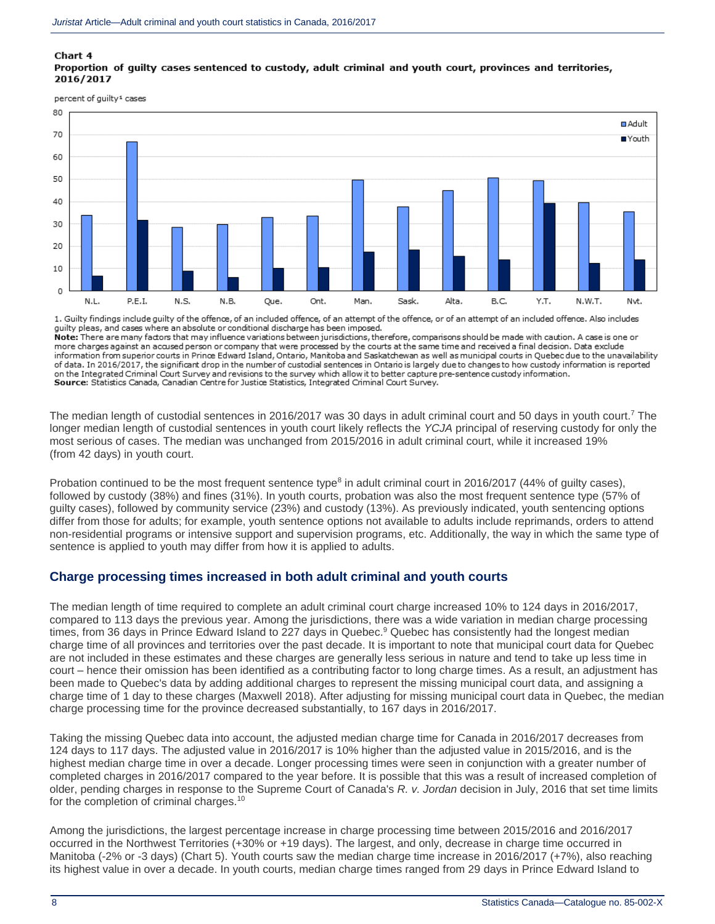#### Chart 4 Proportion of quilty cases sentenced to custody, adult criminal and youth court, provinces and territories, 2016/2017

percent of guilty<sup>1</sup> cases



1. Guilty findings include guilty of the offence, of an included offence, of an attempt of the offence, or of an attempt of an included offence. Also includes guilty pleas, and cases where an absolute or conditional discharge has been imposed.

Note: There are many factors that may influence variations between jurisdictions, therefore, compansons should be made with caution. A case is one or more charges against an accused person or company that were processed by the courts at the same time and received a final decision. Data exclude information from superior courts in Prince Edward Island, Ontario, Manitoba and Saskatchewan as well as municipal courts in Quebec due to the unavailability of data. In 2016/2017, the significant drop in the number of custodial sentences in Ontario is largely due to changes to how custody information is reported on the Integrated Criminal Court Survey and revisions to the survey which allow it to better capture pre-sentence custody information. Source: Statistics Canada, Canadian Centre for Justice Statistics, Integrated Criminal Court Survey,

The median length of custodial sentences in 2016/2017 was 30 days in adult criminal court and 50 days in youth court.<sup>7</sup> The longer median length of custodial sentences in youth court likely reflects the *YCJA* principal of reserving custody for only the most serious of cases. The median was unchanged from 2015/2016 in adult criminal court, while it increased 19% (from 42 days) in youth court.

Probation continued to be the most frequent sentence type $^8$  in adult criminal court in 2016/2017 (44% of guilty cases), followed by custody (38%) and fines (31%). In youth courts, probation was also the most frequent sentence type (57% of guilty cases), followed by community service (23%) and custody (13%). As previously indicated, youth sentencing options differ from those for adults; for example, youth sentence options not available to adults include reprimands, orders to attend non-residential programs or intensive support and supervision programs, etc. Additionally, the way in which the same type of sentence is applied to youth may differ from how it is applied to adults.

### **Charge processing times increased in both adult criminal and youth courts**

The median length of time required to complete an adult criminal court charge increased 10% to 124 days in 2016/2017, compared to 113 days the previous year. Among the jurisdictions, there was a wide variation in median charge processing times, from 36 days in Prince Edward Island to 227 days in Quebec.<sup>9</sup> Quebec has consistently had the longest median charge time of all provinces and territories over the past decade. It is important to note that municipal court data for Quebec are not included in these estimates and these charges are generally less serious in nature and tend to take up less time in court – hence their omission has been identified as a contributing factor to long charge times. As a result, an adjustment has been made to Quebec's data by adding additional charges to represent the missing municipal court data, and assigning a charge time of 1 day to these charges (Maxwell 2018). After adjusting for missing municipal court data in Quebec, the median charge processing time for the province decreased substantially, to 167 days in 2016/2017.

Taking the missing Quebec data into account, the adjusted median charge time for Canada in 2016/2017 decreases from 124 days to 117 days. The adjusted value in 2016/2017 is 10% higher than the adjusted value in 2015/2016, and is the highest median charge time in over a decade. Longer processing times were seen in conjunction with a greater number of completed charges in 2016/2017 compared to the year before. It is possible that this was a result of increased completion of older, pending charges in response to the Supreme Court of Canada's *R. v. Jordan* decision in July, 2016 that set time limits for the completion of criminal charges.<sup>10</sup>

Among the jurisdictions, the largest percentage increase in charge processing time between 2015/2016 and 2016/2017 occurred in the Northwest Territories (+30% or +19 days). The largest, and only, decrease in charge time occurred in Manitoba (-2% or -3 days) (Chart 5). Youth courts saw the median charge time increase in 2016/2017 (+7%), also reaching its highest value in over a decade. In youth courts, median charge times ranged from 29 days in Prince Edward Island to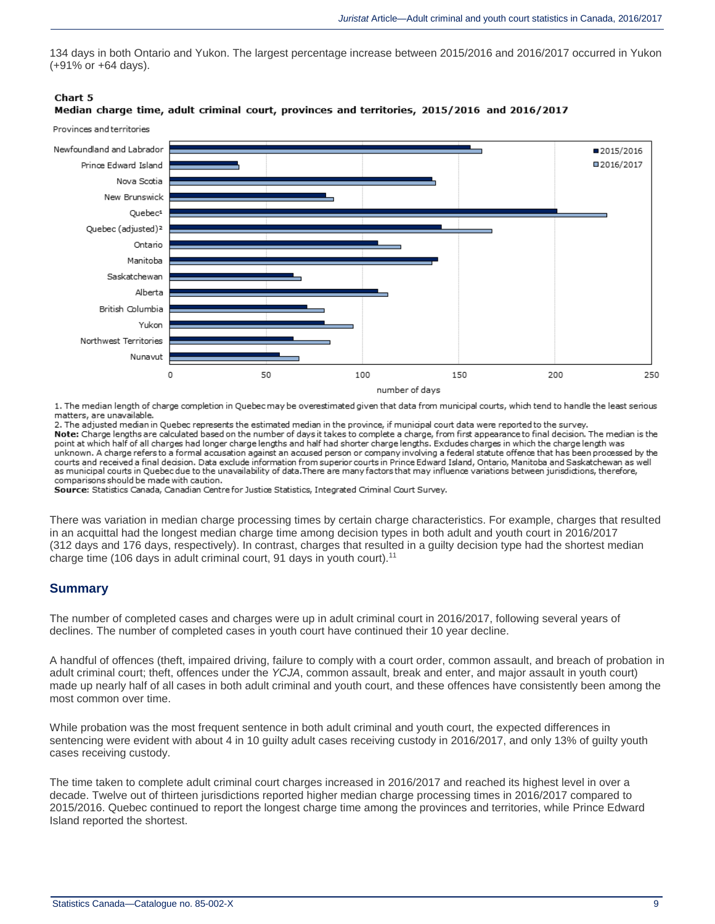134 days in both Ontario and Yukon. The largest percentage increase between 2015/2016 and 2016/2017 occurred in Yukon (+91% or +64 days).

#### Chart 5

#### Median charge time, adult criminal court, provinces and territories, 2015/2016 and 2016/2017

Provinces and territories



1. The median length of charge completion in Quebec may be overestimated given that data from municipal courts, which tend to handle the least serious matters, are unavailable.

2. The adjusted median in Quebec represents the estimated median in the province, if municipal court data were reported to the survey. Note: Charge lengths are calculated based on the number of days it takes to complete a charge, from first appearance to final decision. The median is the point at which half of all charges had longer charge lengths and half had shorter charge lengths. Exdudes charges in which the charge length was unknown. A charge refers to a formal accusation against an accused person or company involving a federal statute offence that has been processed by the courts and received a final decision. Data exclude information from superior courts in Prince Edward Island, Ontario, Manitoba and Saskatchewan as well as municipal courts in Quebec due to the unavailability of data. There are many factors that may influence variations between jurisdictions, therefore, comparisons should be made with caution.

Source: Statistics Canada, Canadian Centre for Justice Statistics, Integrated Criminal Court Survey.

There was variation in median charge processing times by certain charge characteristics. For example, charges that resulted in an acquittal had the longest median charge time among decision types in both adult and youth court in 2016/2017 (312 days and 176 days, respectively). In contrast, charges that resulted in a guilty decision type had the shortest median charge time (106 days in adult criminal court, 91 days in youth court).<sup>11</sup>

### **Summary**

The number of completed cases and charges were up in adult criminal court in 2016/2017, following several years of declines. The number of completed cases in youth court have continued their 10 year decline.

A handful of offences (theft, impaired driving, failure to comply with a court order, common assault, and breach of probation in adult criminal court; theft, offences under the *YCJA*, common assault, break and enter, and major assault in youth court) made up nearly half of all cases in both adult criminal and youth court, and these offences have consistently been among the most common over time.

While probation was the most frequent sentence in both adult criminal and youth court, the expected differences in sentencing were evident with about 4 in 10 guilty adult cases receiving custody in 2016/2017, and only 13% of guilty youth cases receiving custody.

The time taken to complete adult criminal court charges increased in 2016/2017 and reached its highest level in over a decade. Twelve out of thirteen jurisdictions reported higher median charge processing times in 2016/2017 compared to 2015/2016. Quebec continued to report the longest charge time among the provinces and territories, while Prince Edward Island reported the shortest.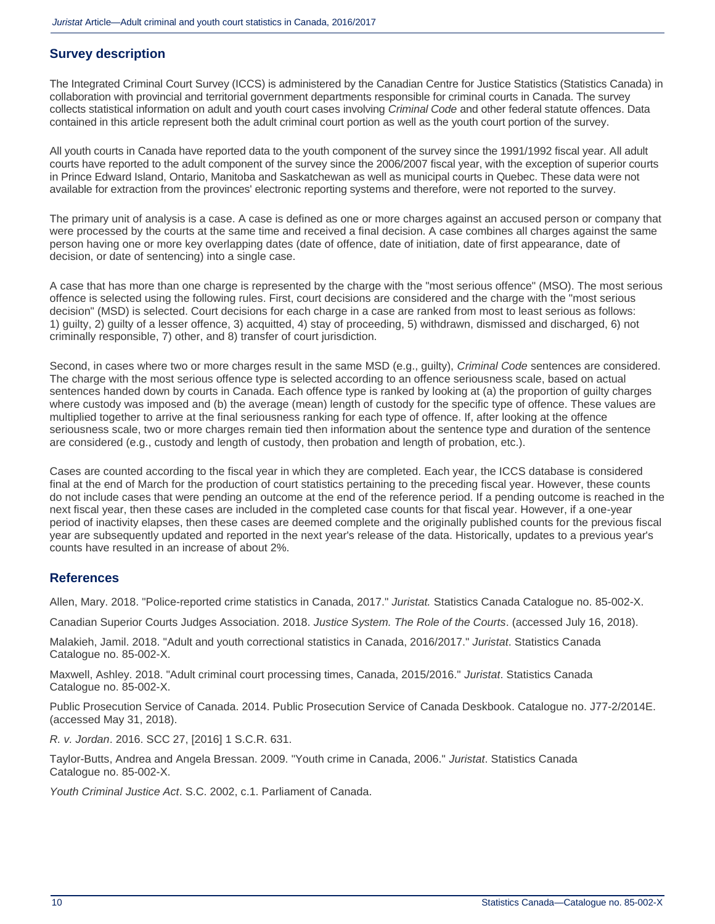## **Survey description**

The Integrated Criminal Court Survey (ICCS) is administered by the Canadian Centre for Justice Statistics (Statistics Canada) in collaboration with provincial and territorial government departments responsible for criminal courts in Canada. The survey collects statistical information on adult and youth court cases involving *Criminal Code* and other federal statute offences. Data contained in this article represent both the adult criminal court portion as well as the youth court portion of the survey.

All youth courts in Canada have reported data to the youth component of the survey since the 1991/1992 fiscal year. All adult courts have reported to the adult component of the survey since the 2006/2007 fiscal year, with the exception of superior courts in Prince Edward Island, Ontario, Manitoba and Saskatchewan as well as municipal courts in Quebec. These data were not available for extraction from the provinces' electronic reporting systems and therefore, were not reported to the survey.

The primary unit of analysis is a case. A case is defined as one or more charges against an accused person or company that were processed by the courts at the same time and received a final decision. A case combines all charges against the same person having one or more key overlapping dates (date of offence, date of initiation, date of first appearance, date of decision, or date of sentencing) into a single case.

A case that has more than one charge is represented by the charge with the "most serious offence" (MSO). The most serious offence is selected using the following rules. First, court decisions are considered and the charge with the "most serious decision" (MSD) is selected. Court decisions for each charge in a case are ranked from most to least serious as follows: 1) guilty, 2) guilty of a lesser offence, 3) acquitted, 4) stay of proceeding, 5) withdrawn, dismissed and discharged, 6) not criminally responsible, 7) other, and 8) transfer of court jurisdiction.

Second, in cases where two or more charges result in the same MSD (e.g., guilty), *Criminal Code* sentences are considered. The charge with the most serious offence type is selected according to an offence seriousness scale, based on actual sentences handed down by courts in Canada. Each offence type is ranked by looking at (a) the proportion of guilty charges where custody was imposed and (b) the average (mean) length of custody for the specific type of offence. These values are multiplied together to arrive at the final seriousness ranking for each type of offence. If, after looking at the offence seriousness scale, two or more charges remain tied then information about the sentence type and duration of the sentence are considered (e.g., custody and length of custody, then probation and length of probation, etc.).

Cases are counted according to the fiscal year in which they are completed. Each year, the ICCS database is considered final at the end of March for the production of court statistics pertaining to the preceding fiscal year. However, these counts do not include cases that were pending an outcome at the end of the reference period. If a pending outcome is reached in the next fiscal year, then these cases are included in the completed case counts for that fiscal year. However, if a one-year period of inactivity elapses, then these cases are deemed complete and the originally published counts for the previous fiscal year are subsequently updated and reported in the next year's release of the data. Historically, updates to a previous year's counts have resulted in an increase of about 2%.

### **References**

Allen, Mary. 2018. "Police-reported crime statistics in Canada, 2017." *Juristat.* Statistics Canada Catalogue no. 85-002-X.

Canadian Superior Courts Judges Association. 2018. *Justice System. The Role of the Courts*. (accessed July 16, 2018).

Malakieh, Jamil. 2018. "Adult and youth correctional statistics in Canada, 2016/2017." *Juristat*. Statistics Canada Catalogue no. 85-002-X.

Maxwell, Ashley. 2018. "Adult criminal court processing times, Canada, 2015/2016." *Juristat*. Statistics Canada Catalogue no. 85-002-X.

Public Prosecution Service of Canada. 2014. Public Prosecution Service of Canada Deskbook. Catalogue no. J77-2/2014E. (accessed May 31, 2018).

*R. v. Jordan*. 2016. SCC 27, [2016] 1 S.C.R. 631.

Taylor-Butts, Andrea and Angela Bressan. 2009. "Youth crime in Canada, 2006." *Juristat*. Statistics Canada Catalogue no. 85-002-X.

*Youth Criminal Justice Act*. S.C. 2002, c.1. Parliament of Canada.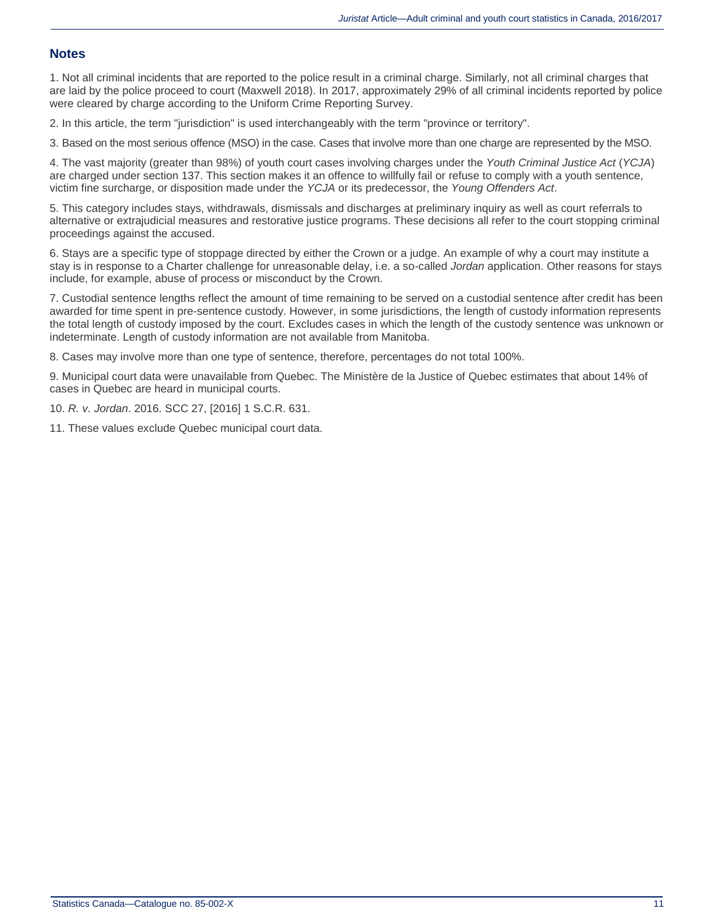#### **Notes**

1. Not all criminal incidents that are reported to the police result in a criminal charge. Similarly, not all criminal charges that are laid by the police proceed to court (Maxwell 2018). In 2017, approximately 29% of all criminal incidents reported by police were cleared by charge according to the Uniform Crime Reporting Survey.

2. In this article, the term "jurisdiction" is used interchangeably with the term "province or territory".

3. Based on the most serious offence (MSO) in the case. Cases that involve more than one charge are represented by the MSO.

4. The vast majority (greater than 98%) of youth court cases involving charges under the *Youth Criminal Justice Act* (*YCJA*) are charged under section 137. This section makes it an offence to willfully fail or refuse to comply with a youth sentence, victim fine surcharge, or disposition made under the *YCJA* or its predecessor, the *Young Offenders Act*.

5. This category includes stays, withdrawals, dismissals and discharges at preliminary inquiry as well as court referrals to alternative or extrajudicial measures and restorative justice programs. These decisions all refer to the court stopping criminal proceedings against the accused.

6. Stays are a specific type of stoppage directed by either the Crown or a judge. An example of why a court may institute a stay is in response to a Charter challenge for unreasonable delay, i.e. a so-called *Jordan* application. Other reasons for stays include, for example, abuse of process or misconduct by the Crown.

7. Custodial sentence lengths reflect the amount of time remaining to be served on a custodial sentence after credit has been awarded for time spent in pre-sentence custody. However, in some jurisdictions, the length of custody information represents the total length of custody imposed by the court. Excludes cases in which the length of the custody sentence was unknown or indeterminate. Length of custody information are not available from Manitoba.

8. Cases may involve more than one type of sentence, therefore, percentages do not total 100%.

9. Municipal court data were unavailable from Quebec. The Ministère de la Justice of Quebec estimates that about 14% of cases in Quebec are heard in municipal courts.

10. *R. v. Jordan*. 2016. SCC 27, [2016] 1 S.C.R. 631.

11. These values exclude Quebec municipal court data.